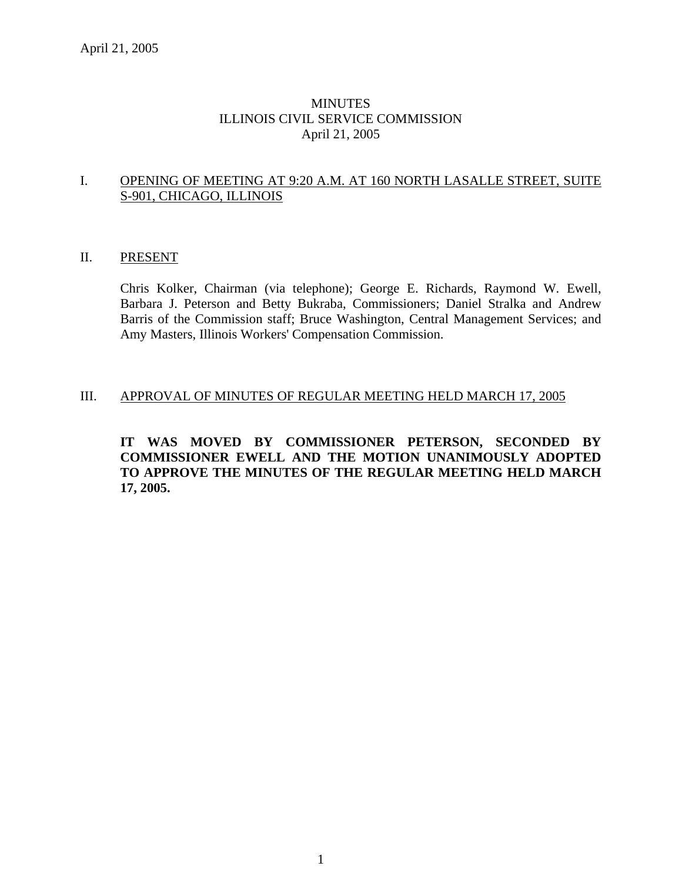# MINUTES ILLINOIS CIVIL SERVICE COMMISSION April 21, 2005

# I. OPENING OF MEETING AT 9:20 A.M. AT 160 NORTH LASALLE STREET, SUITE S-901, CHICAGO, ILLINOIS

# II. PRESENT

Chris Kolker, Chairman (via telephone); George E. Richards, Raymond W. Ewell, Barbara J. Peterson and Betty Bukraba, Commissioners; Daniel Stralka and Andrew Barris of the Commission staff; Bruce Washington, Central Management Services; and Amy Masters, Illinois Workers' Compensation Commission.

# III. APPROVAL OF MINUTES OF REGULAR MEETING HELD MARCH 17, 2005

**IT WAS MOVED BY COMMISSIONER PETERSON, SECONDED BY COMMISSIONER EWELL AND THE MOTION UNANIMOUSLY ADOPTED TO APPROVE THE MINUTES OF THE REGULAR MEETING HELD MARCH 17, 2005.**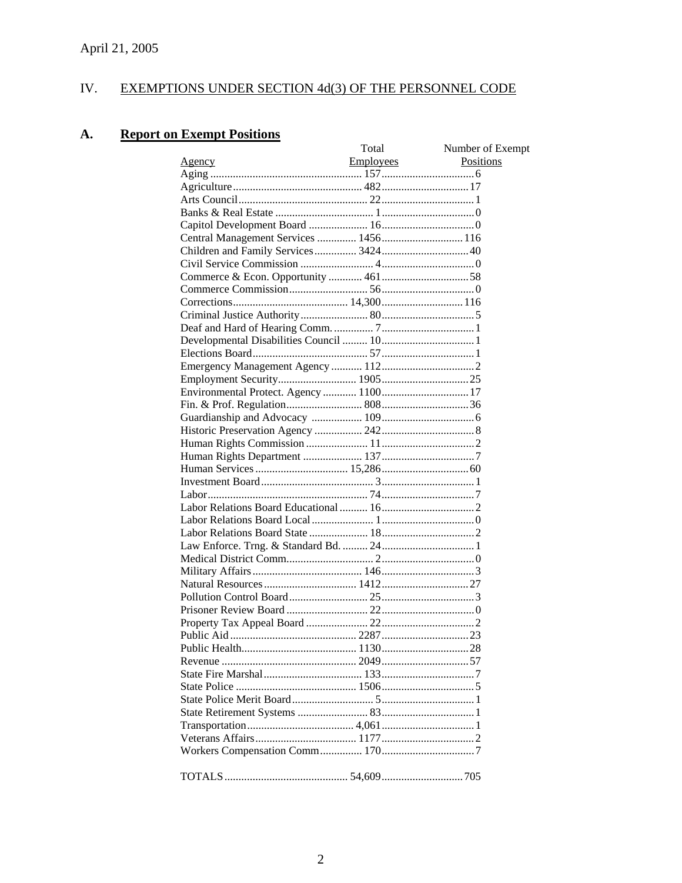#### IV. EXEMPTIONS UNDER SECTION 4d(3) OF THE PERSONNEL CODE

#### **Report on Exempt Positions A.**

|                                       | Total            | Number of Exempt |
|---------------------------------------|------------------|------------------|
| <u>Agency</u>                         | <b>Employees</b> | Positions        |
|                                       |                  |                  |
|                                       |                  |                  |
|                                       |                  |                  |
|                                       |                  |                  |
|                                       |                  |                  |
| Central Management Services  1456 116 |                  |                  |
|                                       |                  |                  |
|                                       |                  |                  |
|                                       |                  |                  |
|                                       |                  |                  |
|                                       |                  |                  |
|                                       |                  |                  |
|                                       |                  |                  |
|                                       |                  |                  |
|                                       |                  |                  |
|                                       |                  |                  |
|                                       |                  |                  |
|                                       |                  |                  |
|                                       |                  |                  |
|                                       |                  |                  |
|                                       |                  |                  |
|                                       |                  |                  |
|                                       |                  |                  |
|                                       |                  |                  |
|                                       |                  |                  |
|                                       |                  |                  |
|                                       |                  |                  |
|                                       |                  |                  |
|                                       |                  |                  |
|                                       |                  |                  |
|                                       |                  |                  |
|                                       |                  |                  |
|                                       |                  |                  |
|                                       |                  |                  |
|                                       |                  |                  |
|                                       |                  |                  |
|                                       |                  |                  |
|                                       |                  |                  |
|                                       |                  |                  |
|                                       |                  |                  |
|                                       |                  |                  |
|                                       |                  |                  |
|                                       |                  |                  |
|                                       |                  |                  |
|                                       |                  |                  |
|                                       |                  |                  |
|                                       |                  |                  |
|                                       |                  |                  |
|                                       |                  |                  |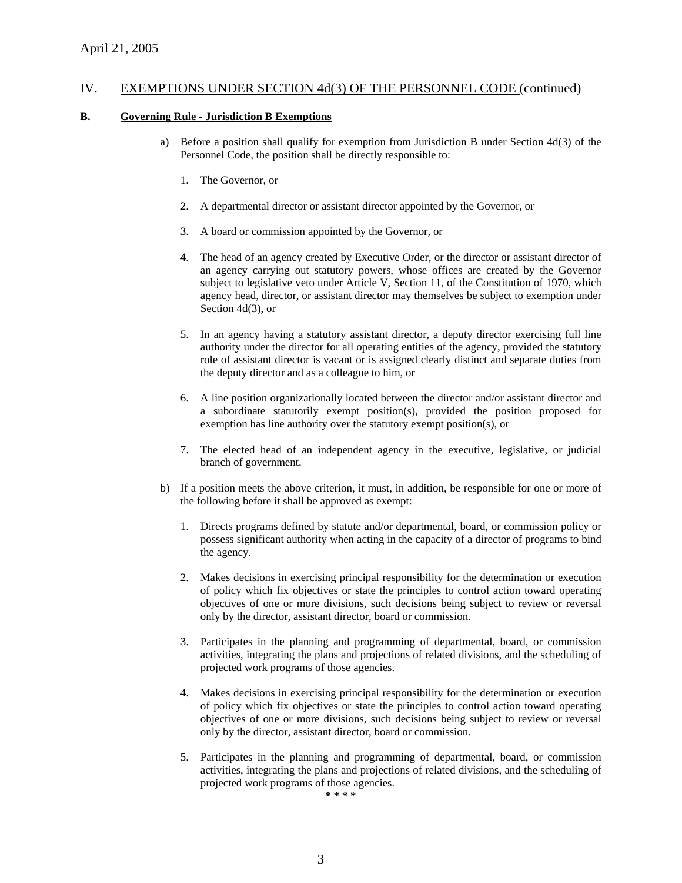#### **B. Governing Rule - Jurisdiction B Exemptions**

- a) Before a position shall qualify for exemption from Jurisdiction B under Section 4d(3) of the Personnel Code, the position shall be directly responsible to:
	- 1. The Governor, or
	- 2. A departmental director or assistant director appointed by the Governor, or
	- 3. A board or commission appointed by the Governor, or
	- 4. The head of an agency created by Executive Order, or the director or assistant director of an agency carrying out statutory powers, whose offices are created by the Governor subject to legislative veto under Article V, Section 11, of the Constitution of 1970, which agency head, director, or assistant director may themselves be subject to exemption under Section 4d(3), or
	- 5. In an agency having a statutory assistant director, a deputy director exercising full line authority under the director for all operating entities of the agency, provided the statutory role of assistant director is vacant or is assigned clearly distinct and separate duties from the deputy director and as a colleague to him, or
	- 6. A line position organizationally located between the director and/or assistant director and a subordinate statutorily exempt position(s), provided the position proposed for exemption has line authority over the statutory exempt position(s), or
	- 7. The elected head of an independent agency in the executive, legislative, or judicial branch of government.
- b) If a position meets the above criterion, it must, in addition, be responsible for one or more of the following before it shall be approved as exempt:
	- 1. Directs programs defined by statute and/or departmental, board, or commission policy or possess significant authority when acting in the capacity of a director of programs to bind the agency.
	- 2. Makes decisions in exercising principal responsibility for the determination or execution of policy which fix objectives or state the principles to control action toward operating objectives of one or more divisions, such decisions being subject to review or reversal only by the director, assistant director, board or commission.
	- 3. Participates in the planning and programming of departmental, board, or commission activities, integrating the plans and projections of related divisions, and the scheduling of projected work programs of those agencies.
	- 4. Makes decisions in exercising principal responsibility for the determination or execution of policy which fix objectives or state the principles to control action toward operating objectives of one or more divisions, such decisions being subject to review or reversal only by the director, assistant director, board or commission.
	- 5. Participates in the planning and programming of departmental, board, or commission activities, integrating the plans and projections of related divisions, and the scheduling of projected work programs of those agencies.

**\* \* \* \***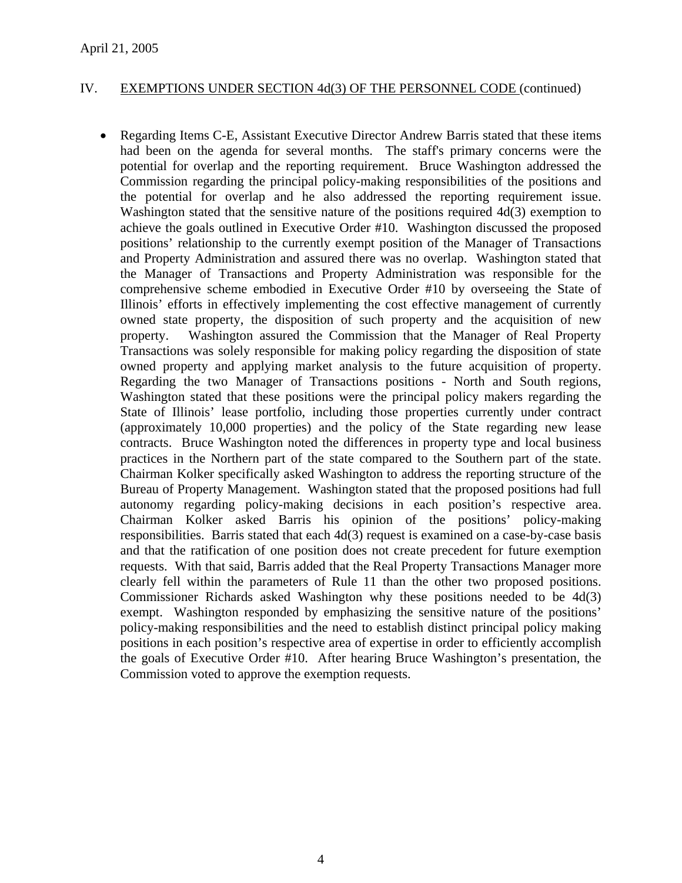• Regarding Items C-E, Assistant Executive Director Andrew Barris stated that these items had been on the agenda for several months. The staff's primary concerns were the potential for overlap and the reporting requirement. Bruce Washington addressed the Commission regarding the principal policy-making responsibilities of the positions and the potential for overlap and he also addressed the reporting requirement issue. Washington stated that the sensitive nature of the positions required 4d(3) exemption to achieve the goals outlined in Executive Order #10. Washington discussed the proposed positions' relationship to the currently exempt position of the Manager of Transactions and Property Administration and assured there was no overlap. Washington stated that the Manager of Transactions and Property Administration was responsible for the comprehensive scheme embodied in Executive Order #10 by overseeing the State of Illinois' efforts in effectively implementing the cost effective management of currently owned state property, the disposition of such property and the acquisition of new property. Washington assured the Commission that the Manager of Real Property Transactions was solely responsible for making policy regarding the disposition of state owned property and applying market analysis to the future acquisition of property. Regarding the two Manager of Transactions positions - North and South regions, Washington stated that these positions were the principal policy makers regarding the State of Illinois' lease portfolio, including those properties currently under contract (approximately 10,000 properties) and the policy of the State regarding new lease contracts. Bruce Washington noted the differences in property type and local business practices in the Northern part of the state compared to the Southern part of the state. Chairman Kolker specifically asked Washington to address the reporting structure of the Bureau of Property Management. Washington stated that the proposed positions had full autonomy regarding policy-making decisions in each position's respective area. Chairman Kolker asked Barris his opinion of the positions' policy-making responsibilities. Barris stated that each 4d(3) request is examined on a case-by-case basis and that the ratification of one position does not create precedent for future exemption requests. With that said, Barris added that the Real Property Transactions Manager more clearly fell within the parameters of Rule 11 than the other two proposed positions. Commissioner Richards asked Washington why these positions needed to be 4d(3) exempt. Washington responded by emphasizing the sensitive nature of the positions' policy-making responsibilities and the need to establish distinct principal policy making positions in each position's respective area of expertise in order to efficiently accomplish the goals of Executive Order #10. After hearing Bruce Washington's presentation, the Commission voted to approve the exemption requests.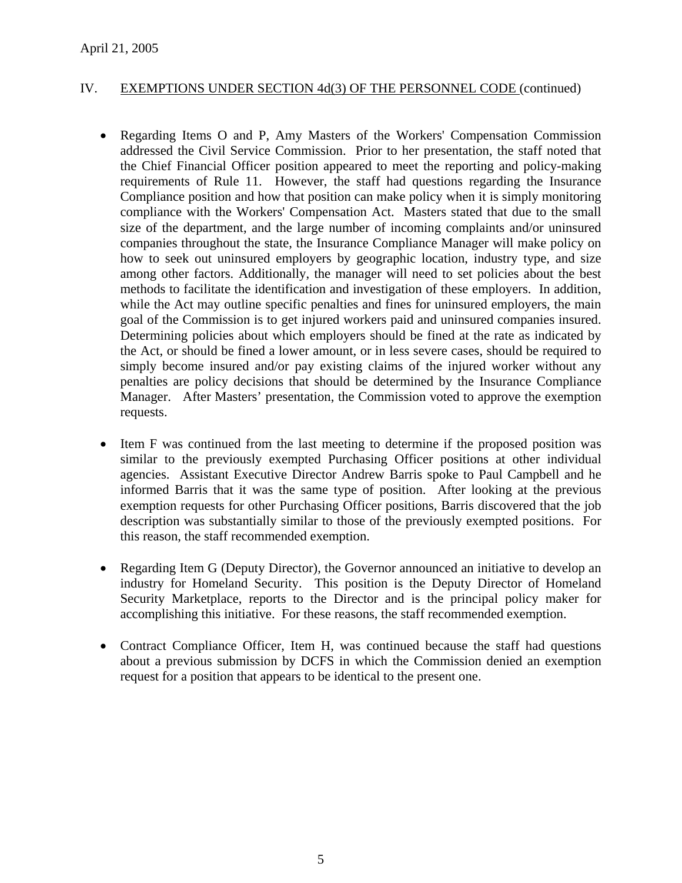- Regarding Items O and P, Amy Masters of the Workers' Compensation Commission addressed the Civil Service Commission. Prior to her presentation, the staff noted that the Chief Financial Officer position appeared to meet the reporting and policy-making requirements of Rule 11. However, the staff had questions regarding the Insurance Compliance position and how that position can make policy when it is simply monitoring compliance with the Workers' Compensation Act. Masters stated that due to the small size of the department, and the large number of incoming complaints and/or uninsured companies throughout the state, the Insurance Compliance Manager will make policy on how to seek out uninsured employers by geographic location, industry type, and size among other factors. Additionally, the manager will need to set policies about the best methods to facilitate the identification and investigation of these employers. In addition, while the Act may outline specific penalties and fines for uninsured employers, the main goal of the Commission is to get injured workers paid and uninsured companies insured. Determining policies about which employers should be fined at the rate as indicated by the Act, or should be fined a lower amount, or in less severe cases, should be required to simply become insured and/or pay existing claims of the injured worker without any penalties are policy decisions that should be determined by the Insurance Compliance Manager. After Masters' presentation, the Commission voted to approve the exemption requests.
- Item F was continued from the last meeting to determine if the proposed position was similar to the previously exempted Purchasing Officer positions at other individual agencies. Assistant Executive Director Andrew Barris spoke to Paul Campbell and he informed Barris that it was the same type of position. After looking at the previous exemption requests for other Purchasing Officer positions, Barris discovered that the job description was substantially similar to those of the previously exempted positions. For this reason, the staff recommended exemption.
- Regarding Item G (Deputy Director), the Governor announced an initiative to develop an industry for Homeland Security. This position is the Deputy Director of Homeland Security Marketplace, reports to the Director and is the principal policy maker for accomplishing this initiative. For these reasons, the staff recommended exemption.
- Contract Compliance Officer, Item H, was continued because the staff had questions about a previous submission by DCFS in which the Commission denied an exemption request for a position that appears to be identical to the present one.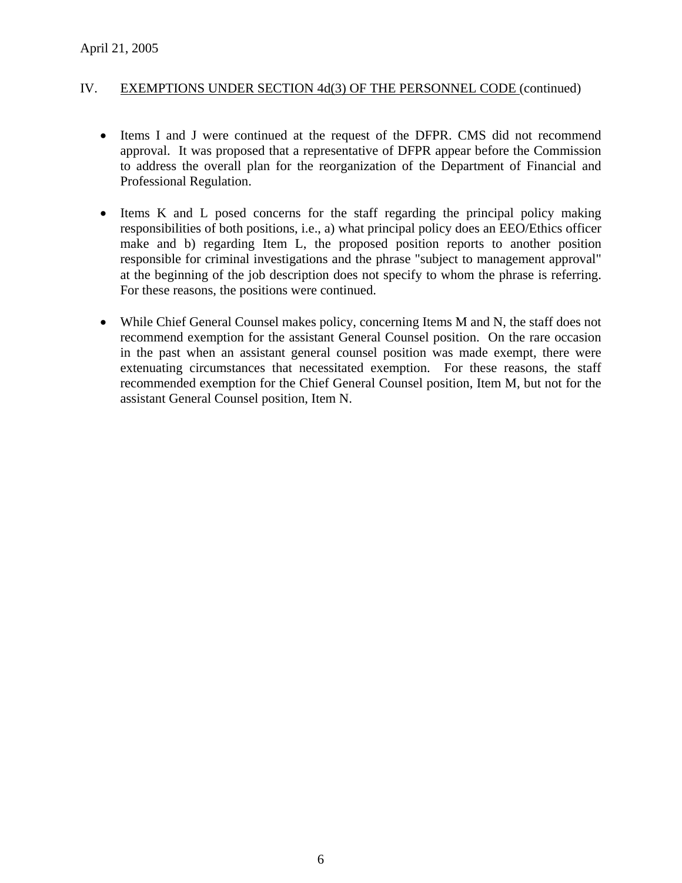- Items I and J were continued at the request of the DFPR. CMS did not recommend approval. It was proposed that a representative of DFPR appear before the Commission to address the overall plan for the reorganization of the Department of Financial and Professional Regulation.
- Items K and L posed concerns for the staff regarding the principal policy making responsibilities of both positions, i.e., a) what principal policy does an EEO/Ethics officer make and b) regarding Item L, the proposed position reports to another position responsible for criminal investigations and the phrase "subject to management approval" at the beginning of the job description does not specify to whom the phrase is referring. For these reasons, the positions were continued.
- While Chief General Counsel makes policy, concerning Items M and N, the staff does not recommend exemption for the assistant General Counsel position. On the rare occasion in the past when an assistant general counsel position was made exempt, there were extenuating circumstances that necessitated exemption. For these reasons, the staff recommended exemption for the Chief General Counsel position, Item M, but not for the assistant General Counsel position, Item N.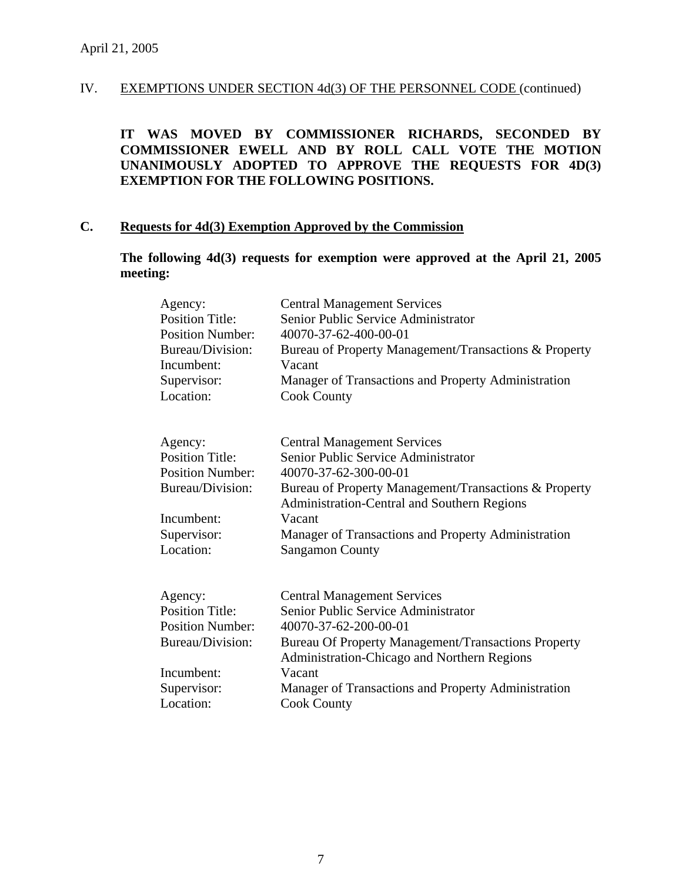**IT WAS MOVED BY COMMISSIONER RICHARDS, SECONDED BY COMMISSIONER EWELL AND BY ROLL CALL VOTE THE MOTION UNANIMOUSLY ADOPTED TO APPROVE THE REQUESTS FOR 4D(3) EXEMPTION FOR THE FOLLOWING POSITIONS.**

# **C. Requests for 4d(3) Exemption Approved by the Commission**

**The following 4d(3) requests for exemption were approved at the April 21, 2005 meeting:** 

| Agency:<br><b>Position Title:</b><br><b>Position Number:</b><br>Bureau/Division:<br>Incumbent:<br>Supervisor:<br>Location: | <b>Central Management Services</b><br>Senior Public Service Administrator<br>40070-37-62-400-00-01<br>Bureau of Property Management/Transactions & Property<br>Vacant<br>Manager of Transactions and Property Administration<br><b>Cook County</b> |
|----------------------------------------------------------------------------------------------------------------------------|----------------------------------------------------------------------------------------------------------------------------------------------------------------------------------------------------------------------------------------------------|
| Agency:                                                                                                                    | <b>Central Management Services</b>                                                                                                                                                                                                                 |
| <b>Position Title:</b>                                                                                                     | Senior Public Service Administrator                                                                                                                                                                                                                |
| <b>Position Number:</b>                                                                                                    | 40070-37-62-300-00-01                                                                                                                                                                                                                              |
| Bureau/Division:                                                                                                           | Bureau of Property Management/Transactions & Property<br>Administration-Central and Southern Regions                                                                                                                                               |
| Incumbent:                                                                                                                 | Vacant                                                                                                                                                                                                                                             |
| Supervisor:                                                                                                                | Manager of Transactions and Property Administration                                                                                                                                                                                                |
| Location:                                                                                                                  | <b>Sangamon County</b>                                                                                                                                                                                                                             |
|                                                                                                                            |                                                                                                                                                                                                                                                    |
| Agency:                                                                                                                    | <b>Central Management Services</b>                                                                                                                                                                                                                 |
| <b>Position Title:</b>                                                                                                     | Senior Public Service Administrator                                                                                                                                                                                                                |
| <b>Position Number:</b>                                                                                                    | 40070-37-62-200-00-01                                                                                                                                                                                                                              |
| Bureau/Division:                                                                                                           | <b>Bureau Of Property Management/Transactions Property</b><br>Administration-Chicago and Northern Regions                                                                                                                                          |
| Incumbent:                                                                                                                 | Vacant                                                                                                                                                                                                                                             |
| Supervisor:                                                                                                                | Manager of Transactions and Property Administration                                                                                                                                                                                                |
| Location:                                                                                                                  | <b>Cook County</b>                                                                                                                                                                                                                                 |
|                                                                                                                            |                                                                                                                                                                                                                                                    |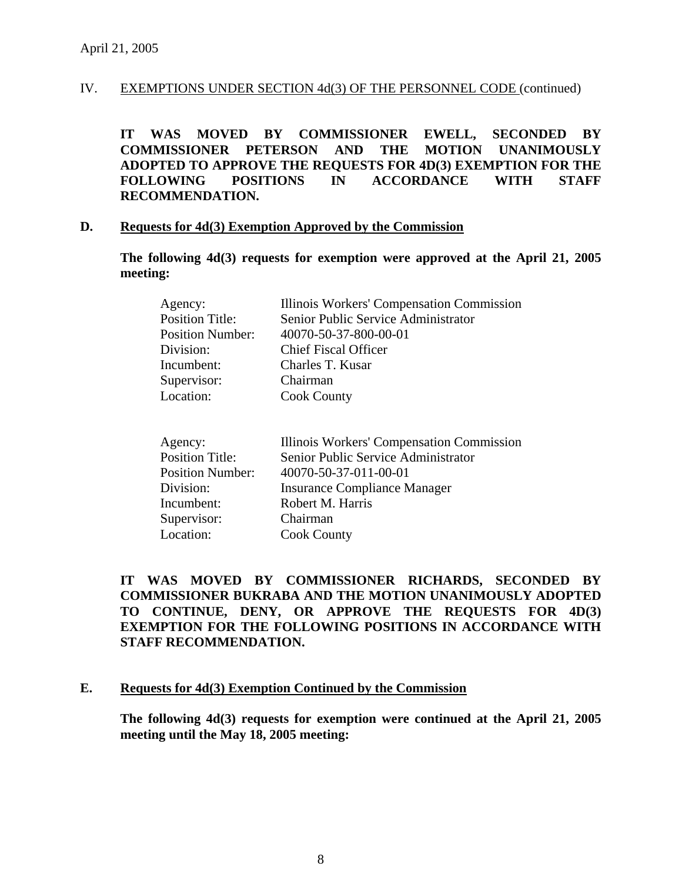**IT WAS MOVED BY COMMISSIONER EWELL, SECONDED BY COMMISSIONER PETERSON AND THE MOTION UNANIMOUSLY ADOPTED TO APPROVE THE REQUESTS FOR 4D(3) EXEMPTION FOR THE FOLLOWING POSITIONS IN ACCORDANCE WITH STAFF RECOMMENDATION.**

#### **D. Requests for 4d(3) Exemption Approved by the Commission**

**The following 4d(3) requests for exemption were approved at the April 21, 2005 meeting:** 

| Agency:                 | Illinois Workers' Compensation Commission |
|-------------------------|-------------------------------------------|
| <b>Position Title:</b>  | Senior Public Service Administrator       |
| <b>Position Number:</b> | 40070-50-37-800-00-01                     |
| Division:               | <b>Chief Fiscal Officer</b>               |
| Incumbent:              | Charles T. Kusar                          |
| Supervisor:             | Chairman                                  |
| Location:               | <b>Cook County</b>                        |

| Agency:                 | Illinois Workers' Compensation Commission |
|-------------------------|-------------------------------------------|
| <b>Position Title:</b>  | Senior Public Service Administrator       |
| <b>Position Number:</b> | 40070-50-37-011-00-01                     |
| Division:               | <b>Insurance Compliance Manager</b>       |
| Incumbent:              | Robert M. Harris                          |
| Supervisor:             | Chairman                                  |
| Location:               | <b>Cook County</b>                        |

**IT WAS MOVED BY COMMISSIONER RICHARDS, SECONDED BY COMMISSIONER BUKRABA AND THE MOTION UNANIMOUSLY ADOPTED TO CONTINUE, DENY, OR APPROVE THE REQUESTS FOR 4D(3) EXEMPTION FOR THE FOLLOWING POSITIONS IN ACCORDANCE WITH STAFF RECOMMENDATION.** 

### **E. Requests for 4d(3) Exemption Continued by the Commission**

**The following 4d(3) requests for exemption were continued at the April 21, 2005 meeting until the May 18, 2005 meeting:**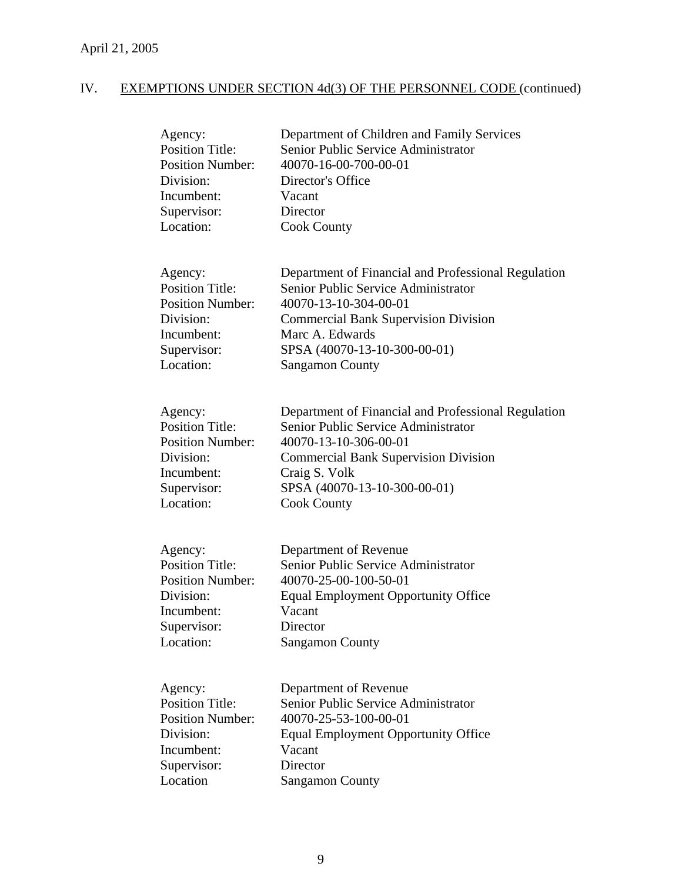| Agency:<br><b>Position Title:</b><br><b>Position Number:</b><br>Division:<br>Incumbent:<br>Supervisor:<br>Location: | Department of Children and Family Services<br>Senior Public Service Administrator<br>40070-16-00-700-00-01<br>Director's Office<br>Vacant<br>Director<br><b>Cook County</b>                                                                     |
|---------------------------------------------------------------------------------------------------------------------|-------------------------------------------------------------------------------------------------------------------------------------------------------------------------------------------------------------------------------------------------|
| Agency:<br><b>Position Title:</b><br><b>Position Number:</b><br>Division:<br>Incumbent:<br>Supervisor:<br>Location: | Department of Financial and Professional Regulation<br>Senior Public Service Administrator<br>40070-13-10-304-00-01<br><b>Commercial Bank Supervision Division</b><br>Marc A. Edwards<br>SPSA (40070-13-10-300-00-01)<br><b>Sangamon County</b> |
| Agency:<br><b>Position Title:</b><br><b>Position Number:</b><br>Division:<br>Incumbent:<br>Supervisor:<br>Location: | Department of Financial and Professional Regulation<br>Senior Public Service Administrator<br>40070-13-10-306-00-01<br><b>Commercial Bank Supervision Division</b><br>Craig S. Volk<br>SPSA (40070-13-10-300-00-01)<br><b>Cook County</b>       |
| Agency:<br><b>Position Title:</b><br><b>Position Number:</b><br>Division:<br>Incumbent:<br>Supervisor:<br>Location: | Department of Revenue<br>Senior Public Service Administrator<br>40070-25-00-100-50-01<br><b>Equal Employment Opportunity Office</b><br>Vacant<br>Director<br><b>Sangamon County</b>                                                             |
| Agency:<br><b>Position Title:</b><br><b>Position Number:</b><br>Division:<br>Incumbent:<br>Supervisor:<br>Location  | Department of Revenue<br>Senior Public Service Administrator<br>40070-25-53-100-00-01<br><b>Equal Employment Opportunity Office</b><br>Vacant<br>Director<br><b>Sangamon County</b>                                                             |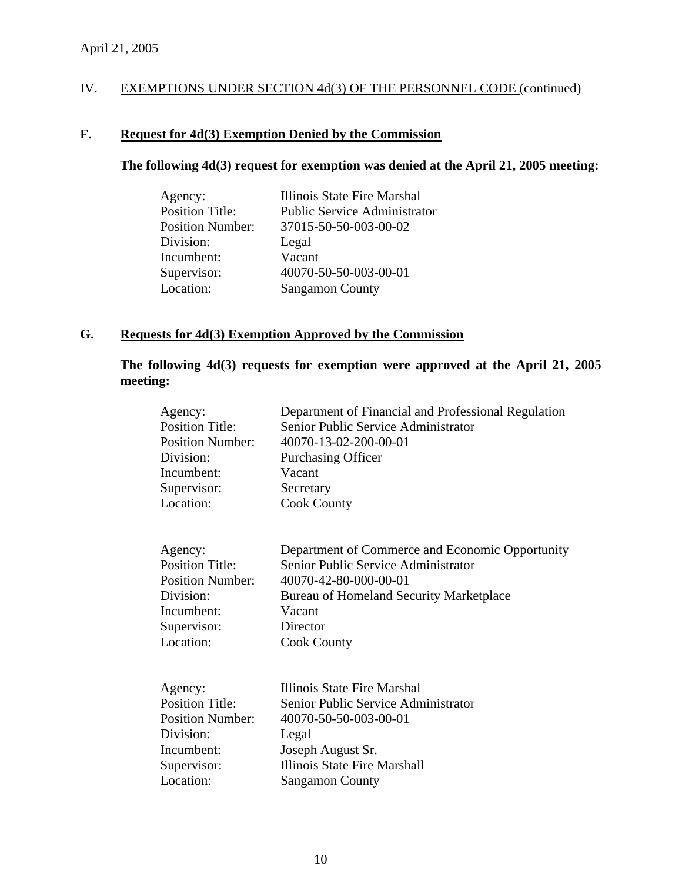# **F. Request for 4d(3) Exemption Denied by the Commission**

# **The following 4d(3) request for exemption was denied at the April 21, 2005 meeting:**

| Agency:                 | Illinois State Fire Marshal         |
|-------------------------|-------------------------------------|
| <b>Position Title:</b>  | <b>Public Service Administrator</b> |
| <b>Position Number:</b> | 37015-50-50-003-00-02               |
| Division:               | Legal                               |
| Incumbent:              | Vacant                              |
| Supervisor:             | 40070-50-50-003-00-01               |
| Location:               | <b>Sangamon County</b>              |

# **G. Requests for 4d(3) Exemption Approved by the Commission**

**The following 4d(3) requests for exemption were approved at the April 21, 2005 meeting:** 

| Agency:<br><b>Position Title:</b><br><b>Position Number:</b><br>Division:<br>Incumbent:<br>Supervisor:<br>Location: | <b>Purchasing Officer</b><br>Vacant<br>Secretary<br><b>Cook County</b> | Department of Financial and Professional Regulation<br>Senior Public Service Administrator<br>40070-13-02-200-00-01                                        |
|---------------------------------------------------------------------------------------------------------------------|------------------------------------------------------------------------|------------------------------------------------------------------------------------------------------------------------------------------------------------|
| Agency:<br><b>Position Title:</b><br><b>Position Number:</b><br>Division:<br>Incumbent:<br>Supervisor:<br>Location: | Vacant<br>Director<br><b>Cook County</b>                               | Department of Commerce and Economic Opportunity<br>Senior Public Service Administrator<br>40070-42-80-000-00-01<br>Bureau of Homeland Security Marketplace |
| Agency:<br><b>Position Title:</b><br><b>Position Number:</b><br>Division:<br>Incumbent:<br>Supervisor:<br>Location: | Legal<br>Joseph August Sr.<br><b>Sangamon County</b>                   | Illinois State Fire Marshal<br>Senior Public Service Administrator<br>40070-50-50-003-00-01<br>Illinois State Fire Marshall                                |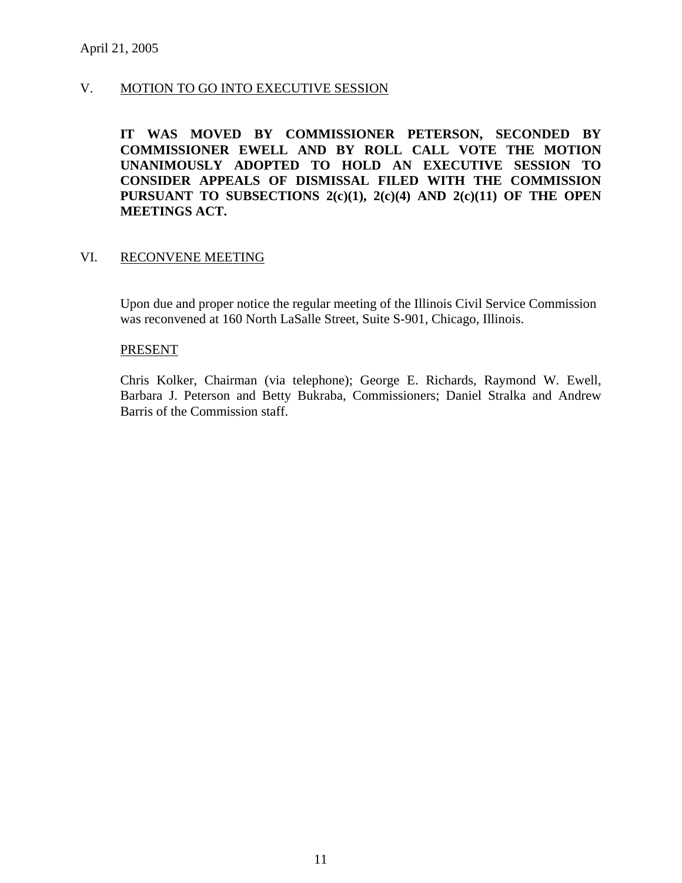# V. MOTION TO GO INTO EXECUTIVE SESSION

**IT WAS MOVED BY COMMISSIONER PETERSON, SECONDED BY COMMISSIONER EWELL AND BY ROLL CALL VOTE THE MOTION UNANIMOUSLY ADOPTED TO HOLD AN EXECUTIVE SESSION TO CONSIDER APPEALS OF DISMISSAL FILED WITH THE COMMISSION PURSUANT TO SUBSECTIONS 2(c)(1), 2(c)(4) AND 2(c)(11) OF THE OPEN MEETINGS ACT.** 

# VI. RECONVENE MEETING

Upon due and proper notice the regular meeting of the Illinois Civil Service Commission was reconvened at 160 North LaSalle Street, Suite S-901, Chicago, Illinois.

#### PRESENT

Chris Kolker, Chairman (via telephone); George E. Richards, Raymond W. Ewell, Barbara J. Peterson and Betty Bukraba, Commissioners; Daniel Stralka and Andrew Barris of the Commission staff.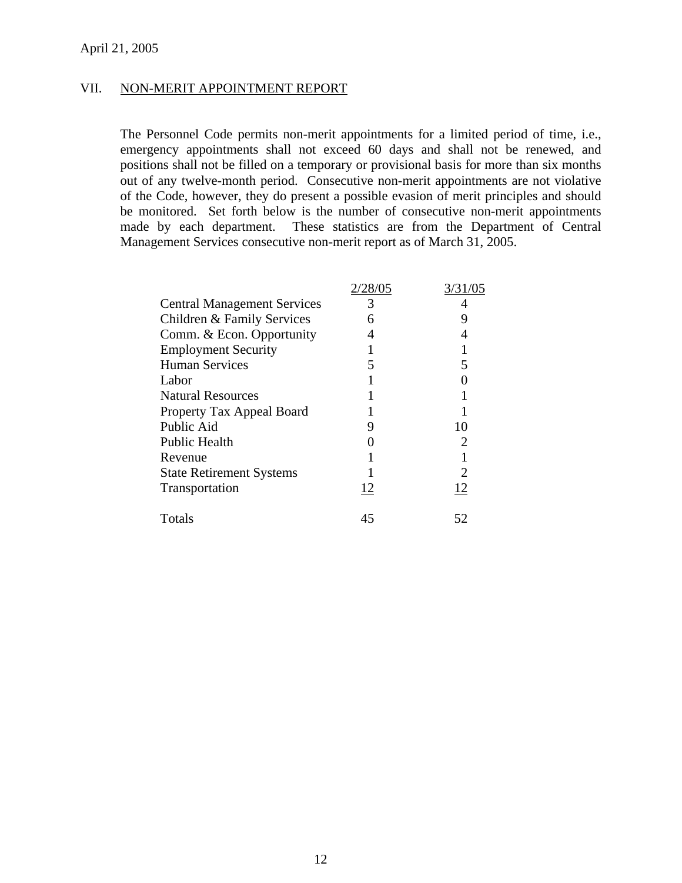# VII. NON-MERIT APPOINTMENT REPORT

The Personnel Code permits non-merit appointments for a limited period of time, i.e., emergency appointments shall not exceed 60 days and shall not be renewed, and positions shall not be filled on a temporary or provisional basis for more than six months out of any twelve-month period. Consecutive non-merit appointments are not violative of the Code, however, they do present a possible evasion of merit principles and should be monitored. Set forth below is the number of consecutive non-merit appointments made by each department. These statistics are from the Department of Central Management Services consecutive non-merit report as of March 31, 2005.

|                                    | 2/28/05 | 3/31/05 |
|------------------------------------|---------|---------|
| <b>Central Management Services</b> | 3       |         |
| Children & Family Services         | 6       | Q       |
| Comm. & Econ. Opportunity          | 4       |         |
| <b>Employment Security</b>         |         |         |
| <b>Human Services</b>              |         |         |
| Labor                              |         |         |
| <b>Natural Resources</b>           |         |         |
| Property Tax Appeal Board          |         |         |
| Public Aid                         | 9       | 10      |
| <b>Public Health</b>               |         |         |
| Revenue                            |         |         |
| <b>State Retirement Systems</b>    |         |         |
| Transportation                     | 12      | 12      |
| Totals                             | 45      | 52      |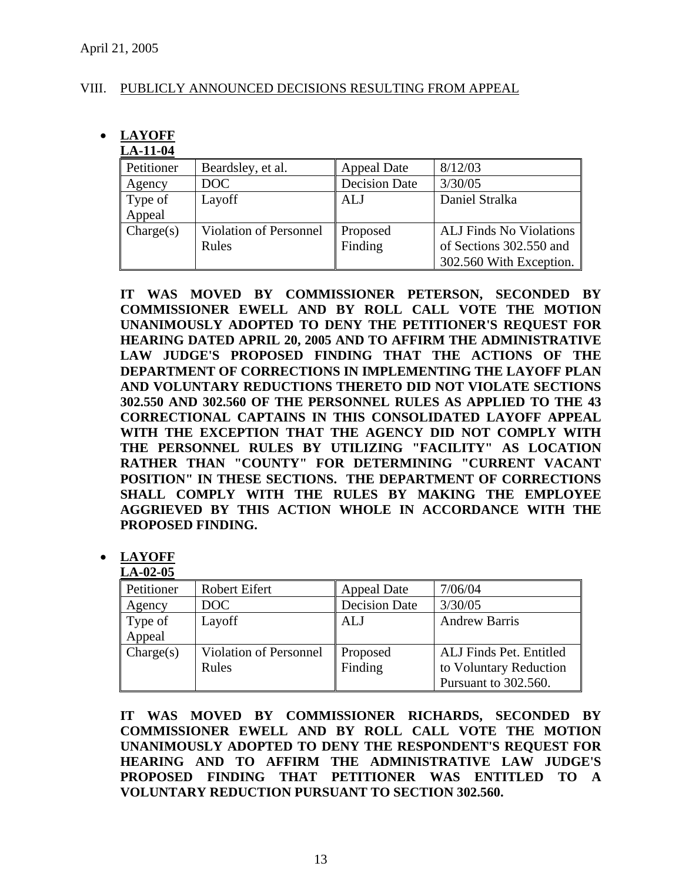# VIII. PUBLICLY ANNOUNCED DECISIONS RESULTING FROM APPEAL

#### • **LAYOFF LA-11-04**

| LA-11-V4   |                               |                      |                                |
|------------|-------------------------------|----------------------|--------------------------------|
| Petitioner | Beardsley, et al.             | Appeal Date          | 8/12/03                        |
| Agency     | DOC                           | <b>Decision Date</b> | 3/30/05                        |
| Type of    | Layoff                        | <b>ALJ</b>           | Daniel Stralka                 |
| Appeal     |                               |                      |                                |
| Change(s)  | <b>Violation of Personnel</b> | Proposed             | <b>ALJ Finds No Violations</b> |
|            | Rules                         | Finding              | of Sections 302.550 and        |
|            |                               |                      | 302.560 With Exception.        |

**IT WAS MOVED BY COMMISSIONER PETERSON, SECONDED BY COMMISSIONER EWELL AND BY ROLL CALL VOTE THE MOTION UNANIMOUSLY ADOPTED TO DENY THE PETITIONER'S REQUEST FOR HEARING DATED APRIL 20, 2005 AND TO AFFIRM THE ADMINISTRATIVE LAW JUDGE'S PROPOSED FINDING THAT THE ACTIONS OF THE DEPARTMENT OF CORRECTIONS IN IMPLEMENTING THE LAYOFF PLAN AND VOLUNTARY REDUCTIONS THERETO DID NOT VIOLATE SECTIONS 302.550 AND 302.560 OF THE PERSONNEL RULES AS APPLIED TO THE 43 CORRECTIONAL CAPTAINS IN THIS CONSOLIDATED LAYOFF APPEAL WITH THE EXCEPTION THAT THE AGENCY DID NOT COMPLY WITH THE PERSONNEL RULES BY UTILIZING "FACILITY" AS LOCATION RATHER THAN "COUNTY" FOR DETERMINING "CURRENT VACANT POSITION" IN THESE SECTIONS. THE DEPARTMENT OF CORRECTIONS SHALL COMPLY WITH THE RULES BY MAKING THE EMPLOYEE AGGRIEVED BY THIS ACTION WHOLE IN ACCORDANCE WITH THE PROPOSED FINDING.** 

#### • **LAYOFF LA-02-05**

| LA-04-03   |                        |                      |                         |
|------------|------------------------|----------------------|-------------------------|
| Petitioner | <b>Robert Eifert</b>   | Appeal Date          | 7/06/04                 |
| Agency     | DOC                    | <b>Decision Date</b> | 3/30/05                 |
| Type of    | Layoff                 | ALJ                  | <b>Andrew Barris</b>    |
| Appeal     |                        |                      |                         |
| Change(s)  | Violation of Personnel | Proposed             | ALJ Finds Pet. Entitled |
|            | Rules                  | Finding              | to Voluntary Reduction  |
|            |                        |                      | Pursuant to 302.560.    |

**IT WAS MOVED BY COMMISSIONER RICHARDS, SECONDED BY COMMISSIONER EWELL AND BY ROLL CALL VOTE THE MOTION UNANIMOUSLY ADOPTED TO DENY THE RESPONDENT'S REQUEST FOR HEARING AND TO AFFIRM THE ADMINISTRATIVE LAW JUDGE'S PROPOSED FINDING THAT PETITIONER WAS ENTITLED TO A VOLUNTARY REDUCTION PURSUANT TO SECTION 302.560.**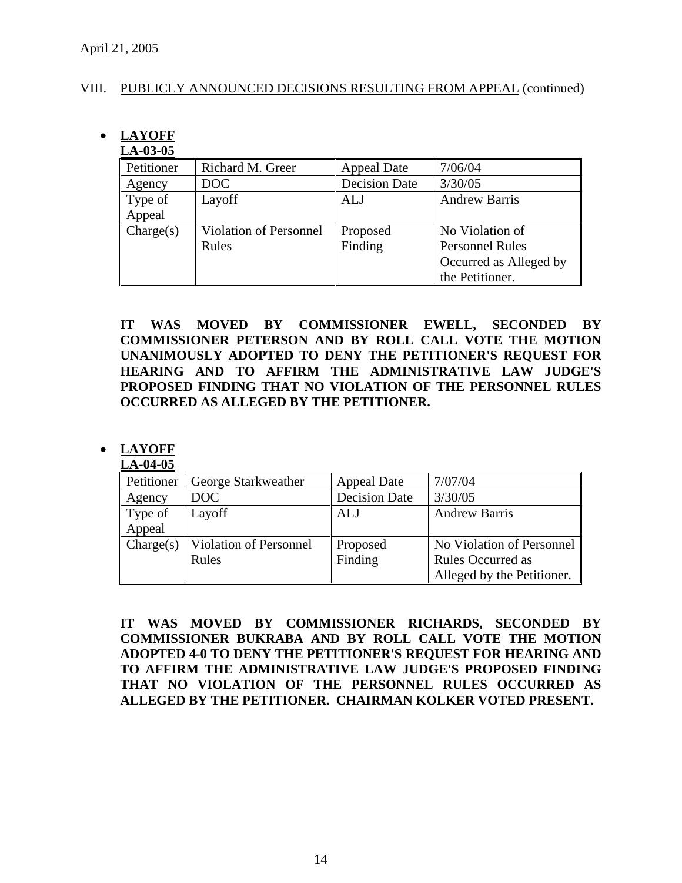# VIII. PUBLICLY ANNOUNCED DECISIONS RESULTING FROM APPEAL (continued)

# • **LAYOFF**

# **LA-03-05**

| Petitioner | Richard M. Greer              | <b>Appeal Date</b>   | 7/06/04                |
|------------|-------------------------------|----------------------|------------------------|
| Agency     | DOC                           | <b>Decision Date</b> | 3/30/05                |
| Type of    | Layoff                        | <b>ALJ</b>           | <b>Andrew Barris</b>   |
| Appeal     |                               |                      |                        |
| Change(s)  | <b>Violation of Personnel</b> | Proposed             | No Violation of        |
|            | Rules                         | Finding              | <b>Personnel Rules</b> |
|            |                               |                      | Occurred as Alleged by |
|            |                               |                      | the Petitioner.        |

**IT WAS MOVED BY COMMISSIONER EWELL, SECONDED BY COMMISSIONER PETERSON AND BY ROLL CALL VOTE THE MOTION UNANIMOUSLY ADOPTED TO DENY THE PETITIONER'S REQUEST FOR HEARING AND TO AFFIRM THE ADMINISTRATIVE LAW JUDGE'S PROPOSED FINDING THAT NO VIOLATION OF THE PERSONNEL RULES OCCURRED AS ALLEGED BY THE PETITIONER.** 

# • **LAYOFF**

**LA-04-05** Petitioner George Starkweather Appeal Date 7/07/04 Agency DOC Decision Date 3/30/05 Type of Appeal Layoff **ALJ** Andrew Barris  $\text{Change}(s)$  Violation of Personnel Rules Proposed Finding No Violation of Personnel Rules Occurred as Alleged by the Petitioner.

**IT WAS MOVED BY COMMISSIONER RICHARDS, SECONDED BY COMMISSIONER BUKRABA AND BY ROLL CALL VOTE THE MOTION ADOPTED 4-0 TO DENY THE PETITIONER'S REQUEST FOR HEARING AND TO AFFIRM THE ADMINISTRATIVE LAW JUDGE'S PROPOSED FINDING THAT NO VIOLATION OF THE PERSONNEL RULES OCCURRED AS ALLEGED BY THE PETITIONER. CHAIRMAN KOLKER VOTED PRESENT.**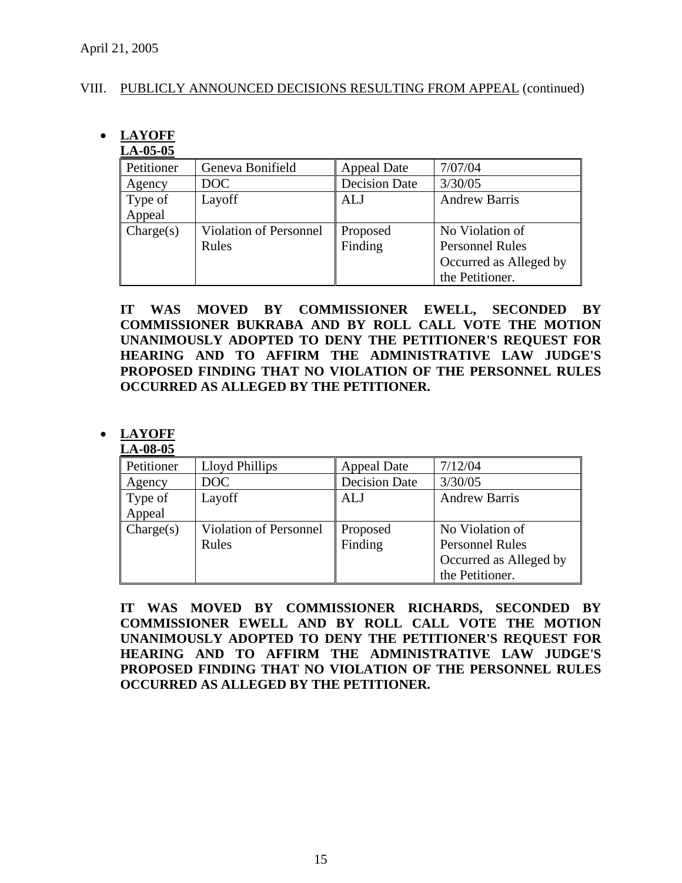# VIII. PUBLICLY ANNOUNCED DECISIONS RESULTING FROM APPEAL (continued)

# • **LAYOFF**

# **LA-05-05**

| Petitioner | Geneva Bonifield       | <b>Appeal Date</b>   | 7/07/04                |
|------------|------------------------|----------------------|------------------------|
| Agency     | DOC                    | <b>Decision Date</b> | 3/30/05                |
| Type of    | Layoff                 | ALJ                  | <b>Andrew Barris</b>   |
| Appeal     |                        |                      |                        |
| Change(s)  | Violation of Personnel | Proposed             | No Violation of        |
|            | Rules                  | Finding              | <b>Personnel Rules</b> |
|            |                        |                      | Occurred as Alleged by |
|            |                        |                      | the Petitioner.        |

**IT WAS MOVED BY COMMISSIONER EWELL, SECONDED BY COMMISSIONER BUKRABA AND BY ROLL CALL VOTE THE MOTION UNANIMOUSLY ADOPTED TO DENY THE PETITIONER'S REQUEST FOR HEARING AND TO AFFIRM THE ADMINISTRATIVE LAW JUDGE'S PROPOSED FINDING THAT NO VIOLATION OF THE PERSONNEL RULES OCCURRED AS ALLEGED BY THE PETITIONER.** 

# • **LAYOFF**

# **LA-08-05**

| Petitioner | Lloyd Phillips                | <b>Appeal Date</b>   | 7/12/04                |
|------------|-------------------------------|----------------------|------------------------|
| Agency     | DOC                           | <b>Decision Date</b> | 3/30/05                |
| Type of    | Layoff                        | ALJ                  | <b>Andrew Barris</b>   |
| Appeal     |                               |                      |                        |
| Change(s)  | <b>Violation of Personnel</b> | Proposed             | No Violation of        |
|            | Rules                         | Finding              | <b>Personnel Rules</b> |
|            |                               |                      | Occurred as Alleged by |
|            |                               |                      | the Petitioner.        |

**IT WAS MOVED BY COMMISSIONER RICHARDS, SECONDED BY COMMISSIONER EWELL AND BY ROLL CALL VOTE THE MOTION UNANIMOUSLY ADOPTED TO DENY THE PETITIONER'S REQUEST FOR HEARING AND TO AFFIRM THE ADMINISTRATIVE LAW JUDGE'S PROPOSED FINDING THAT NO VIOLATION OF THE PERSONNEL RULES OCCURRED AS ALLEGED BY THE PETITIONER.**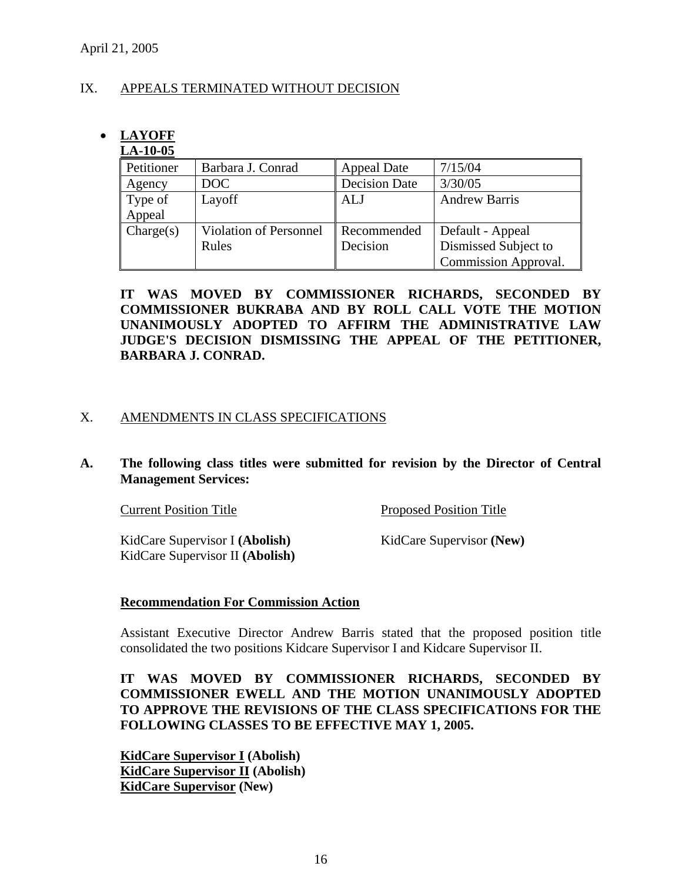# IX. APPEALS TERMINATED WITHOUT DECISION

# • **LAYOFF**

# **LA-10-05**

| Petitioner | Barbara J. Conrad             | <b>Appeal Date</b>   | 7/15/04              |
|------------|-------------------------------|----------------------|----------------------|
| Agency     | DOC                           | <b>Decision Date</b> | 3/30/05              |
| Type of    | Layoff                        | <b>ALJ</b>           | <b>Andrew Barris</b> |
| Appeal     |                               |                      |                      |
| Change(s)  | <b>Violation of Personnel</b> | Recommended          | Default - Appeal     |
|            | Rules                         | Decision             | Dismissed Subject to |
|            |                               |                      | Commission Approval. |

**IT WAS MOVED BY COMMISSIONER RICHARDS, SECONDED BY COMMISSIONER BUKRABA AND BY ROLL CALL VOTE THE MOTION UNANIMOUSLY ADOPTED TO AFFIRM THE ADMINISTRATIVE LAW JUDGE'S DECISION DISMISSING THE APPEAL OF THE PETITIONER, BARBARA J. CONRAD.** 

# X. AMENDMENTS IN CLASS SPECIFICATIONS

# **A. The following class titles were submitted for revision by the Director of Central Management Services:**

| <b>Current Position Title</b>   | <b>Proposed Position Title</b> |
|---------------------------------|--------------------------------|
| KidCare Supervisor I (Abolish)  | KidCare Supervisor (New)       |
| KidCare Supervisor II (Abolish) |                                |

# **Recommendation For Commission Action**

Assistant Executive Director Andrew Barris stated that the proposed position title consolidated the two positions Kidcare Supervisor I and Kidcare Supervisor II.

**IT WAS MOVED BY COMMISSIONER RICHARDS, SECONDED BY COMMISSIONER EWELL AND THE MOTION UNANIMOUSLY ADOPTED TO APPROVE THE REVISIONS OF THE CLASS SPECIFICATIONS FOR THE FOLLOWING CLASSES TO BE EFFECTIVE MAY 1, 2005.**

**KidCare Supervisor I (Abolish) KidCare Supervisor II (Abolish) KidCare Supervisor (New)**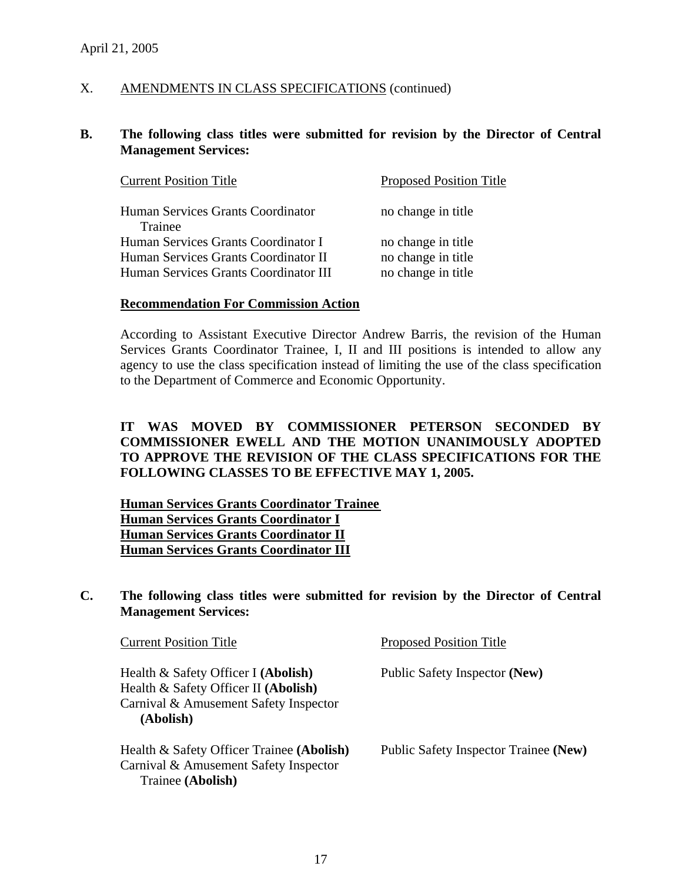# X. AMENDMENTS IN CLASS SPECIFICATIONS (continued)

# **B. The following class titles were submitted for revision by the Director of Central Management Services:**

| <b>Current Position Title</b>         | <b>Proposed Position Title</b> |
|---------------------------------------|--------------------------------|
| Human Services Grants Coordinator     | no change in title             |
| Trainee                               |                                |
| Human Services Grants Coordinator I   | no change in title             |
| Human Services Grants Coordinator II  | no change in title             |
| Human Services Grants Coordinator III | no change in title             |

#### **Recommendation For Commission Action**

According to Assistant Executive Director Andrew Barris, the revision of the Human Services Grants Coordinator Trainee, I, II and III positions is intended to allow any agency to use the class specification instead of limiting the use of the class specification to the Department of Commerce and Economic Opportunity.

# **IT WAS MOVED BY COMMISSIONER PETERSON SECONDED BY COMMISSIONER EWELL AND THE MOTION UNANIMOUSLY ADOPTED TO APPROVE THE REVISION OF THE CLASS SPECIFICATIONS FOR THE FOLLOWING CLASSES TO BE EFFECTIVE MAY 1, 2005.**

 **Human Services Grants Coordinator Trainee Human Services Grants Coordinator I Human Services Grants Coordinator II Human Services Grants Coordinator III**

### **C. The following class titles were submitted for revision by the Director of Central Management Services:**

| <b>Current Position Title</b>                                                                                                     | <b>Proposed Position Title</b>        |
|-----------------------------------------------------------------------------------------------------------------------------------|---------------------------------------|
| Health & Safety Officer I (Abolish)<br>Health & Safety Officer II (Abolish)<br>Carnival & Amusement Safety Inspector<br>(Abolish) | Public Safety Inspector (New)         |
| Health & Safety Officer Trainee (Abolish)<br>Carnival & Amusement Safety Inspector<br>Trainee (Abolish)                           | Public Safety Inspector Trainee (New) |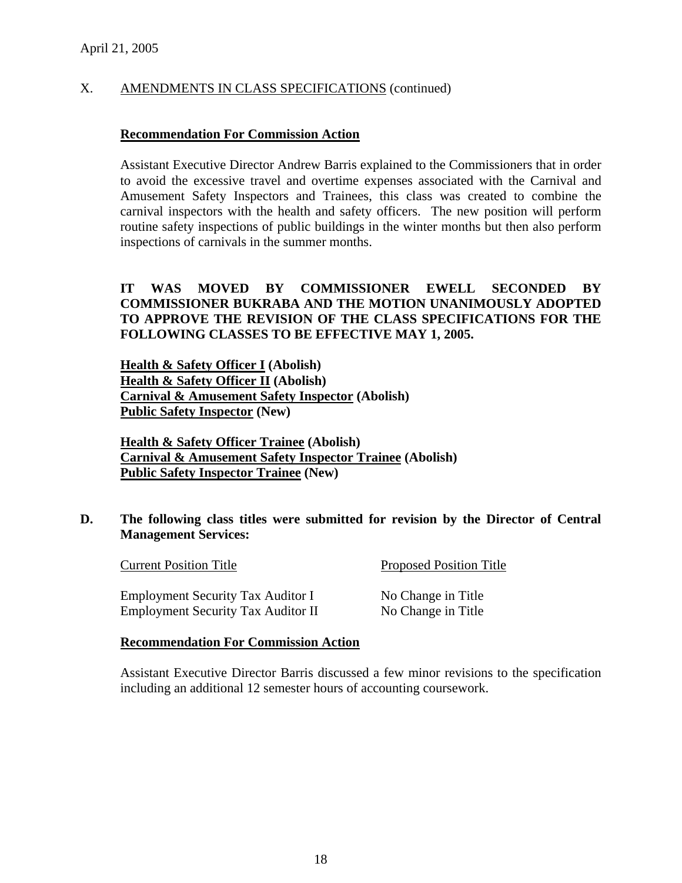# X. AMENDMENTS IN CLASS SPECIFICATIONS (continued)

# **Recommendation For Commission Action**

Assistant Executive Director Andrew Barris explained to the Commissioners that in order to avoid the excessive travel and overtime expenses associated with the Carnival and Amusement Safety Inspectors and Trainees, this class was created to combine the carnival inspectors with the health and safety officers. The new position will perform routine safety inspections of public buildings in the winter months but then also perform inspections of carnivals in the summer months.

# **IT WAS MOVED BY COMMISSIONER EWELL SECONDED BY COMMISSIONER BUKRABA AND THE MOTION UNANIMOUSLY ADOPTED TO APPROVE THE REVISION OF THE CLASS SPECIFICATIONS FOR THE FOLLOWING CLASSES TO BE EFFECTIVE MAY 1, 2005.**

 **Health & Safety Officer I (Abolish) Health & Safety Officer II (Abolish) Carnival & Amusement Safety Inspector (Abolish) Public Safety Inspector (New)** 

**Health & Safety Officer Trainee (Abolish) Carnival & Amusement Safety Inspector Trainee (Abolish) Public Safety Inspector Trainee (New)** 

# **D. The following class titles were submitted for revision by the Director of Central Management Services:**

| <b>Current Position Title</b>             | <b>Proposed Position Title</b> |
|-------------------------------------------|--------------------------------|
| <b>Employment Security Tax Auditor I</b>  | No Change in Title             |
| <b>Employment Security Tax Auditor II</b> | No Change in Title             |

# **Recommendation For Commission Action**

Assistant Executive Director Barris discussed a few minor revisions to the specification including an additional 12 semester hours of accounting coursework.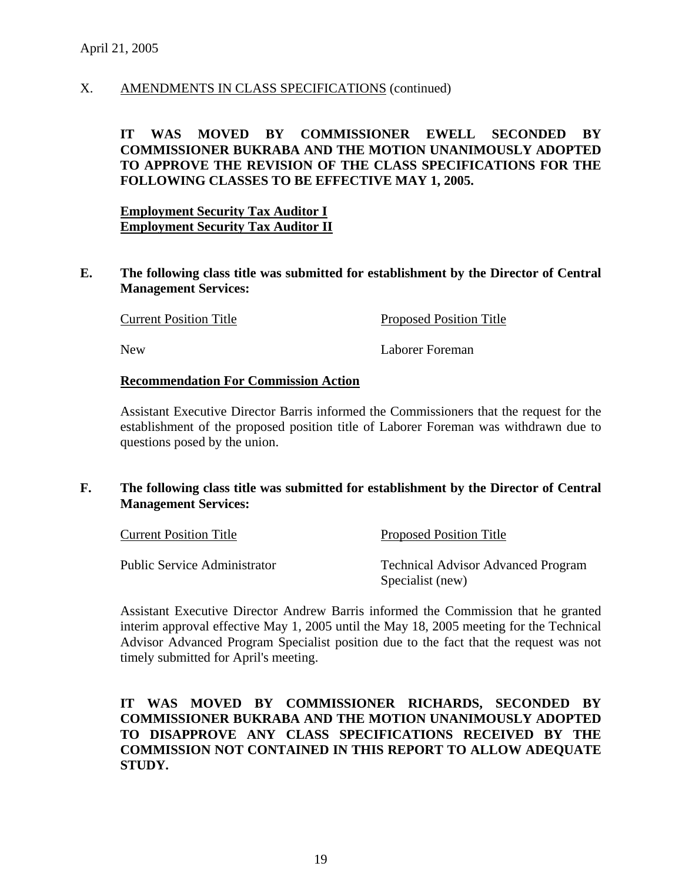# X. AMENDMENTS IN CLASS SPECIFICATIONS (continued)

# **IT WAS MOVED BY COMMISSIONER EWELL SECONDED BY COMMISSIONER BUKRABA AND THE MOTION UNANIMOUSLY ADOPTED TO APPROVE THE REVISION OF THE CLASS SPECIFICATIONS FOR THE FOLLOWING CLASSES TO BE EFFECTIVE MAY 1, 2005.**

**Employment Security Tax Auditor I Employment Security Tax Auditor II**

**E. The following class title was submitted for establishment by the Director of Central Management Services:** 

**Current Position Title Proposed Position Title** 

New Laborer Foreman

#### **Recommendation For Commission Action**

Assistant Executive Director Barris informed the Commissioners that the request for the establishment of the proposed position title of Laborer Foreman was withdrawn due to questions posed by the union.

**F. The following class title was submitted for establishment by the Director of Central Management Services:** 

| <b>Current Position Title</b> | <b>Proposed Position Title</b>            |  |
|-------------------------------|-------------------------------------------|--|
| Public Service Administrator  | <b>Technical Advisor Advanced Program</b> |  |
|                               | Specialist (new)                          |  |

Assistant Executive Director Andrew Barris informed the Commission that he granted interim approval effective May 1, 2005 until the May 18, 2005 meeting for the Technical Advisor Advanced Program Specialist position due to the fact that the request was not timely submitted for April's meeting.

# **IT WAS MOVED BY COMMISSIONER RICHARDS, SECONDED BY COMMISSIONER BUKRABA AND THE MOTION UNANIMOUSLY ADOPTED TO DISAPPROVE ANY CLASS SPECIFICATIONS RECEIVED BY THE COMMISSION NOT CONTAINED IN THIS REPORT TO ALLOW ADEQUATE STUDY.**